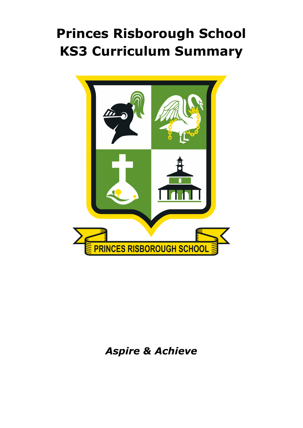# **Princes Risborough School KS3 Curriculum Summary**



# *Aspire & Achieve*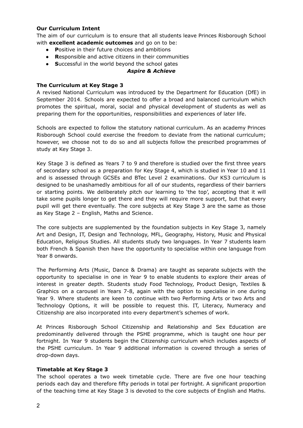#### **Our Curriculum Intent**

The aim of our curriculum is to ensure that all students leave Princes Risborough School with **excellent academic outcomes** and go on to be:

- **● P**ositive in their future choices and ambitions
- **● R**esponsible and active citizens in their communities
- **● S**uccessful in the world beyond the school gates

### *Aspire & Achieve*

# **The Curriculum at Key Stage 3**

A revised National Curriculum was introduced by the Department for Education (DfE) in September 2014. Schools are expected to offer a broad and balanced curriculum which promotes the spiritual, moral, social and physical development of students as well as preparing them for the opportunities, responsibilities and experiences of later life.

Schools are expected to follow the statutory national curriculum. As an academy Princes Risborough School could exercise the freedom to deviate from the national curriculum; however, we choose not to do so and all subjects follow the prescribed programmes of study at Key Stage 3.

Key Stage 3 is defined as Years 7 to 9 and therefore is studied over the first three years of secondary school as a preparation for Key Stage 4, which is studied in Year 10 and 11 and is assessed through GCSEs and BTec Level 2 examinations. Our KS3 curriculum is designed to be unashamedly ambitious for all of our students, regardless of their barriers or starting points. We deliberately pitch our learning to 'the top', accepting that it will take some pupils longer to get there and they will require more support, but that every pupil will get there eventually. The core subjects at Key Stage 3 are the same as those as Key Stage 2 – English, Maths and Science.

The core subjects are supplemented by the foundation subjects in Key Stage 3, namely Art and Design, IT, Design and Technology, MFL, Geography, History, Music and Physical Education, Religious Studies. All students study two languages. In Year 7 students learn both French & Spanish then have the opportunity to specialise within one language from Year 8 onwards.

The Performing Arts (Music, Dance & Drama) are taught as separate subjects with the opportunity to specialise in one in Year 9 to enable students to explore their areas of interest in greater depth. Students study Food Technology, Product Design, Textiles & Graphics on a carousel in Years 7-8, again with the option to specialise in one during Year 9. Where students are keen to continue with two Performing Arts or two Arts and Technology Options, it will be possible to request this. IT, Literacy, Numeracy and Citizenship are also incorporated into every department's schemes of work.

At Princes Risborough School Citizenship and Relationship and Sex Education are predominantly delivered through the PSHE programme, which is taught one hour per fortnight. In Year 9 students begin the Citizenship curriculum which includes aspects of the PSHE curriculum. In Year 9 additional information is covered through a series of drop-down days.

#### **Timetable at Key Stage 3**

The school operates a two week timetable cycle. There are five one hour teaching periods each day and therefore fifty periods in total per fortnight. A significant proportion of the teaching time at Key Stage 3 is devoted to the core subjects of English and Maths.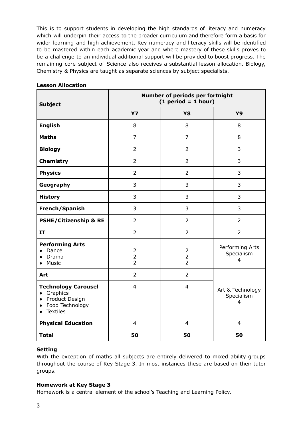This is to support students in developing the high standards of literacy and numeracy which will underpin their access to the broader curriculum and therefore form a basis for wider learning and high achievement. Key numeracy and literacy skills will be identified to be mastered within each academic year and where mastery of these skills proves to be a challenge to an individual additional support will be provided to boost progress. The remaining core subject of Science also receives a substantial lesson allocation. Biology, Chemistry & Physics are taught as separate sciences by subject specialists.

| <b>Subject</b>                                                                                                                          | Number of periods per fortnight<br>$(1 period = 1 hour)$ |                                                    |                                     |
|-----------------------------------------------------------------------------------------------------------------------------------------|----------------------------------------------------------|----------------------------------------------------|-------------------------------------|
|                                                                                                                                         | <b>Y7</b>                                                | <b>Y8</b>                                          | <b>Y9</b>                           |
| <b>English</b>                                                                                                                          | 8                                                        | 8                                                  | 8                                   |
| <b>Maths</b>                                                                                                                            | $\overline{7}$                                           | $\overline{7}$                                     | 8                                   |
| <b>Biology</b>                                                                                                                          | $\overline{2}$                                           | $\overline{2}$                                     | 3                                   |
| <b>Chemistry</b>                                                                                                                        | $\overline{2}$                                           | $\overline{2}$                                     | 3                                   |
| <b>Physics</b>                                                                                                                          | $\overline{2}$                                           | $\overline{2}$                                     | 3                                   |
| Geography                                                                                                                               | 3                                                        | 3                                                  | 3                                   |
| <b>History</b>                                                                                                                          | 3                                                        | 3                                                  | 3                                   |
| French/Spanish                                                                                                                          | 3                                                        | 3                                                  | 3                                   |
| <b>PSHE/Citizenship &amp; RE</b>                                                                                                        | $\overline{2}$                                           | $\overline{2}$                                     | $\overline{2}$                      |
| <b>IT</b>                                                                                                                               | $\overline{2}$                                           | $\overline{2}$                                     | $\overline{2}$                      |
| <b>Performing Arts</b><br>Dance<br>$\bullet$<br>Drama<br>$\bullet$<br>Music<br>$\bullet$                                                | $\overline{2}$<br>$\overline{2}$<br>$\overline{2}$       | $\overline{2}$<br>$\overline{2}$<br>$\overline{2}$ | Performing Arts<br>Specialism<br>4  |
| Art                                                                                                                                     | $\overline{2}$                                           | $\overline{2}$                                     |                                     |
| <b>Technology Carousel</b><br>Graphics<br>$\bullet$<br>• Product Design<br>Food Technology<br>$\bullet$<br><b>Textiles</b><br>$\bullet$ | $\overline{4}$                                           | $\overline{4}$                                     | Art & Technology<br>Specialism<br>4 |
| <b>Physical Education</b>                                                                                                               | $\overline{4}$                                           | $\overline{4}$                                     | $\overline{4}$                      |
| <b>Total</b>                                                                                                                            | 50                                                       | 50                                                 | 50                                  |

# **Lesson Allocation**

# **Setting**

With the exception of maths all subjects are entirely delivered to mixed ability groups throughout the course of Key Stage 3. In most instances these are based on their tutor groups.

# **Homework at Key Stage 3**

Homework is a central element of the school's Teaching and Learning Policy.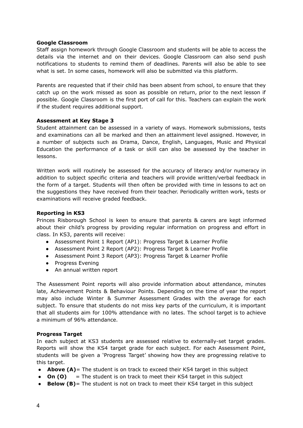#### **Google Classroom**

Staff assign homework through Google Classroom and students will be able to access the details via the internet and on their devices. Google Classroom can also send push notifications to students to remind them of deadlines. Parents will also be able to see what is set. In some cases, homework will also be submitted via this platform.

Parents are requested that if their child has been absent from school, to ensure that they catch up on the work missed as soon as possible on return, prior to the next lesson if possible. Google Classroom is the first port of call for this. Teachers can explain the work if the student requires additional support.

#### **Assessment at Key Stage 3**

Student attainment can be assessed in a variety of ways. Homework submissions, tests and examinations can all be marked and then an attainment level assigned. However, in a number of subjects such as Drama, Dance, English, Languages, Music and Physical Education the performance of a task or skill can also be assessed by the teacher in lessons.

Written work will routinely be assessed for the accuracy of literacy and/or numeracy in addition to subject specific criteria and teachers will provide written/verbal feedback in the form of a target. Students will then often be provided with time in lessons to act on the suggestions they have received from their teacher. Periodically written work, tests or examinations will receive graded feedback.

#### **Reporting in KS3**

Princes Risborough School is keen to ensure that parents & carers are kept informed about their child's progress by providing regular information on progress and effort in class. In KS3, parents will receive:

- Assessment Point 1 Report (AP1): Progress Target & Learner Profile
- Assessment Point 2 Report (AP2): Progress Target & Learner Profile
- Assessment Point 3 Report (AP3): Progress Target & Learner Profile
- Progress Evening
- An annual written report

The Assessment Point reports will also provide information about attendance, minutes late, Achievement Points & Behaviour Points. Depending on the time of year the report may also include Winter & Summer Assessment Grades with the average for each subject. To ensure that students do not miss key parts of the curriculum, it is important that all students aim for 100% attendance with no lates. The school target is to achieve a minimum of 96% attendance.

#### **Progress Target**

In each subject at KS3 students are assessed relative to externally-set target grades. Reports will show the KS4 target grade for each subject. For each Assessment Point, students will be given a 'Progress Target' showing how they are progressing relative to this target.

- **Above (A)**= The student is on track to exceed their KS4 target in this subject
- **On (O)** = The student is on track to meet their KS4 target in this subject
- **Below (B)**= The student is not on track to meet their KS4 target in this subject